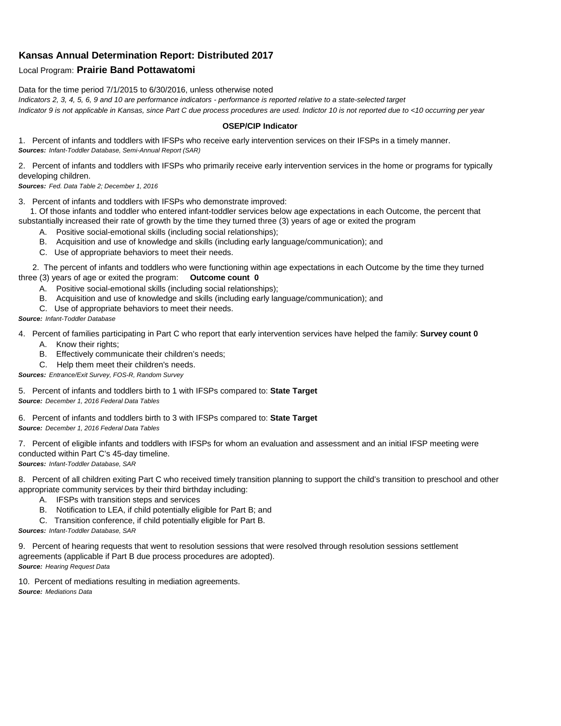## **Kansas Annual Determination Report: Distributed 2017**

## Local Program: **Prairie Band Pottawatomi**

Data for the time period 7/1/2015 to 6/30/2016, unless otherwise noted *Indicators 2, 3, 4, 5, 6, 9 and 10 are performance indicators - performance is reported relative to a state-selected target Indicator 9 is not applicable in Kansas, since Part C due process procedures are used. Indictor 10 is not reported due to <10 occurring per year*

## **OSEP/CIP Indicator**

1. Percent of infants and toddlers with IFSPs who receive early intervention services on their IFSPs in a timely manner. *Sources: Infant-Toddler Database, Semi-Annual Report (SAR)* 

2. Percent of infants and toddlers with IFSPs who primarily receive early intervention services in the home or programs for typically developing children.

*Sources: Fed. Data Table 2; December 1, 2016*

3. Percent of infants and toddlers with IFSPs who demonstrate improved:

 1. Of those infants and toddler who entered infant-toddler services below age expectations in each Outcome, the percent that substantially increased their rate of growth by the time they turned three (3) years of age or exited the program

- A. Positive social-emotional skills (including social relationships);
- B. Acquisition and use of knowledge and skills (including early language/communication); and
- C. Use of appropriate behaviors to meet their needs.

 2. The percent of infants and toddlers who were functioning within age expectations in each Outcome by the time they turned three (3) years of age or exited the program: **Outcome count 0**

- A. Positive social-emotional skills (including social relationships);
- B. Acquisition and use of knowledge and skills (including early language/communication); and
- C. Use of appropriate behaviors to meet their needs.

## *Source: Infant-Toddler Database*

4. Percent of families participating in Part C who report that early intervention services have helped the family: **Survey count 0**

- A. Know their rights;
- B. Effectively communicate their children's needs;
- C. Help them meet their children's needs.
- *Sources: Entrance/Exit Survey, FOS-R, Random Survey*

5. Percent of infants and toddlers birth to 1 with IFSPs compared to: **State Target** *Source: December 1, 2016 Federal Data Tables*

6. Percent of infants and toddlers birth to 3 with IFSPs compared to: **State Target** *Source: December 1, 2016 Federal Data Tables*

7. Percent of eligible infants and toddlers with IFSPs for whom an evaluation and assessment and an initial IFSP meeting were conducted within Part C's 45-day timeline. *Sources: Infant-Toddler Database, SAR*

8. Percent of all children exiting Part C who received timely transition planning to support the child's transition to preschool and other appropriate community services by their third birthday including:

- A. IFSPs with transition steps and services
- B. Notification to LEA, if child potentially eligible for Part B; and
- C. Transition conference, if child potentially eligible for Part B.

*Sources: Infant-Toddler Database, SAR*

9. Percent of hearing requests that went to resolution sessions that were resolved through resolution sessions settlement agreements (applicable if Part B due process procedures are adopted). *Source: Hearing Request Data*

10. Percent of mediations resulting in mediation agreements. *Source: Mediations Data*